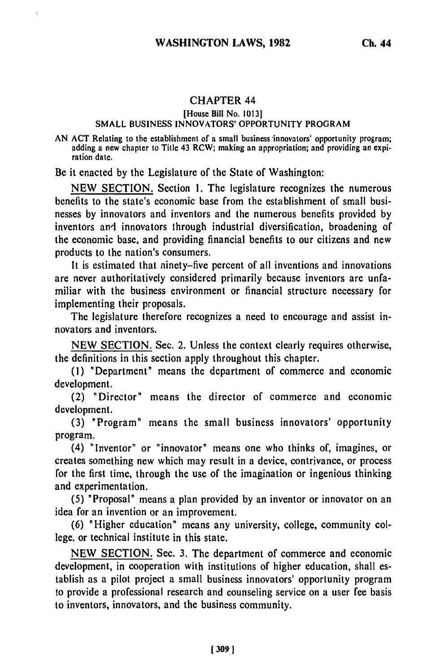## CHAPTER 44

## [House Bill No. **10131**

## SMALL BUSINESS INNOVATORS' OPPORTUNITY PROGRAM

**AN** ACT Relating to the establishment of a small business innovators' opportunity program; adding a new chapter to Title 43 RCW; making an appropriation; and providing an expiration date.

Be it enacted by the Legislature of the State of Washington:

NEW SECTION. Section 1. The legislature recognizes the numerous benefits to the state's economic base from the establishment of small businesses by innovators and inventors and the numerous benefits provided by inventors ant innovators through industrial diversification, broadening of the economic base, and providing financial benefits to our citizens and new products to the nation's consumers.

It is estimated that ninety-five percent of all inventions and innovations are never authoritatively considered primarily because inventors are unfamiliar with the business environment or financial structure necessary for implementing their proposals.

The legislature therefore recognizes a need to encourage and assist innovators and inventors.

NEW SECTION. Sec. 2. Unless the context clearly requires otherwise, the definitions in this section apply throughout this chapter.

(1) "Department" means the department of commerce and economic development.

(2) "Director" means the director of commerce and economic development.

(3) "Program" means the small business innovators' opportunity program.

(4) "Inventor" or "innovator" means one who thinks of, imagines, or creates something new which may result in a device, contrivance, or process for the first time, through the use of the imagination or ingenious thinking and experimentation.

(5) "Proposal" means a plan provided by an inventor or innovator on an idea for an invention or an improvement.

(6) "Higher education" means any university, college, community college, or technical institute in this state.

NEW SECTION. Sec. 3. The department of commerce and economic development, in cooperation with institutions of higher education, shall establish as a pilot project a small business innovators' opportunity program to provide a professional research and counseling service on a user fee basis to inventors, innovators, and the business community.